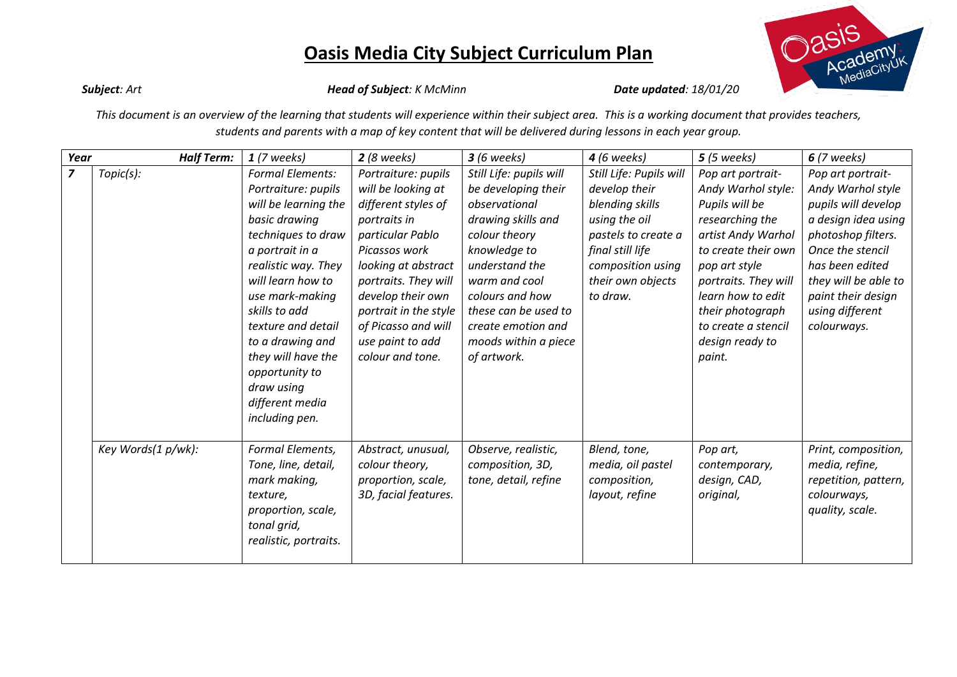

*Subject: Art Head of Subject: K McMinn Date updated: 18/01/20*

*This document is an overview of the learning that students will experience within their subject area. This is a working document that provides teachers, students and parents with a map of key content that will be delivered during lessons in each year group.*

| Year           | <b>Half Term:</b>  | $1(7$ weeks)                                                                                                                                                                                                                                                                                                                                          | $2(8$ weeks)                                                                                                                                                                                                                                                                      | $3(6 \text{ weeks})$                                                                                                                                                                                                                                              | <b>4</b> (6 weeks)                                                                                                                                                            | $5(5$ weeks)                                                                                                                                                                                                                                                    | $6(7 \text{ weeks})$                                                                                                                                                                                                              |
|----------------|--------------------|-------------------------------------------------------------------------------------------------------------------------------------------------------------------------------------------------------------------------------------------------------------------------------------------------------------------------------------------------------|-----------------------------------------------------------------------------------------------------------------------------------------------------------------------------------------------------------------------------------------------------------------------------------|-------------------------------------------------------------------------------------------------------------------------------------------------------------------------------------------------------------------------------------------------------------------|-------------------------------------------------------------------------------------------------------------------------------------------------------------------------------|-----------------------------------------------------------------------------------------------------------------------------------------------------------------------------------------------------------------------------------------------------------------|-----------------------------------------------------------------------------------------------------------------------------------------------------------------------------------------------------------------------------------|
| $\overline{z}$ | Topic(s):          | <b>Formal Elements:</b><br>Portraiture: pupils<br>will be learning the<br>basic drawing<br>techniques to draw<br>a portrait in a<br>realistic way. They<br>will learn how to<br>use mark-making<br>skills to add<br>texture and detail<br>to a drawing and<br>they will have the<br>opportunity to<br>draw using<br>different media<br>including pen. | Portraiture: pupils<br>will be looking at<br>different styles of<br>portraits in<br>particular Pablo<br>Picassos work<br>looking at abstract<br>portraits. They will<br>develop their own<br>portrait in the style<br>of Picasso and will<br>use paint to add<br>colour and tone. | Still Life: pupils will<br>be developing their<br>observational<br>drawing skills and<br>colour theory<br>knowledge to<br>understand the<br>warm and cool<br>colours and how<br>these can be used to<br>create emotion and<br>moods within a piece<br>of artwork. | Still Life: Pupils will<br>develop their<br>blending skills<br>using the oil<br>pastels to create a<br>final still life<br>composition using<br>their own objects<br>to draw. | Pop art portrait-<br>Andy Warhol style:<br>Pupils will be<br>researching the<br>artist Andy Warhol<br>to create their own<br>pop art style<br>portraits. They will<br>learn how to edit<br>their photograph<br>to create a stencil<br>design ready to<br>paint. | Pop art portrait-<br>Andy Warhol style<br>pupils will develop<br>a design idea using<br>photoshop filters.<br>Once the stencil<br>has been edited<br>they will be able to<br>paint their design<br>using different<br>colourways. |
|                | Key Words(1 p/wk): | Formal Elements,<br>Tone, line, detail,<br>mark making,<br>texture,<br>proportion, scale,<br>tonal grid,<br>realistic, portraits.                                                                                                                                                                                                                     | Abstract, unusual,<br>colour theory,<br>proportion, scale,<br>3D, facial features.                                                                                                                                                                                                | Observe, realistic,<br>composition, 3D,<br>tone, detail, refine                                                                                                                                                                                                   | Blend, tone,<br>media, oil pastel<br>composition,<br>layout, refine                                                                                                           | Pop art,<br>contemporary,<br>design, CAD,<br>original,                                                                                                                                                                                                          | Print, composition,<br>media, refine,<br>repetition, pattern,<br>colourways,<br>quality, scale.                                                                                                                                   |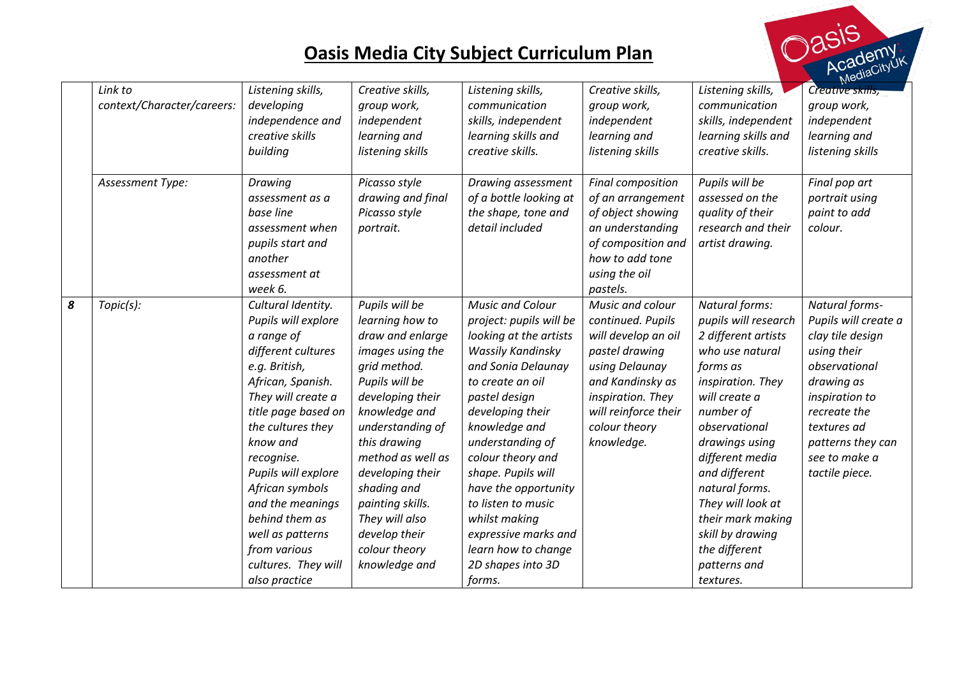

|   | Link to<br>context/Character/careers: | Listening skills,<br>developing<br>independence and<br>creative skills<br>building                                                                                                                                                                                                                                                                                          | Creative skills,<br>group work,<br>independent<br>learning and<br>listening skills                                                                                                                                                                                                                                                    | Listening skills,<br>communication<br>skills, independent<br>learning skills and<br>creative skills.                                                                                                                                                                                                                                                                                                          | Creative skills,<br>group work,<br>independent<br>learning and<br>listening skills                                                                                                               | Listening skills,<br>communication<br>skills, independent<br>learning skills and<br>creative skills.                                                                                                                                                                                                                                                 | Creative skills,<br>group work,<br>independent<br>learning and<br>listening skills                                                                                                                                |
|---|---------------------------------------|-----------------------------------------------------------------------------------------------------------------------------------------------------------------------------------------------------------------------------------------------------------------------------------------------------------------------------------------------------------------------------|---------------------------------------------------------------------------------------------------------------------------------------------------------------------------------------------------------------------------------------------------------------------------------------------------------------------------------------|---------------------------------------------------------------------------------------------------------------------------------------------------------------------------------------------------------------------------------------------------------------------------------------------------------------------------------------------------------------------------------------------------------------|--------------------------------------------------------------------------------------------------------------------------------------------------------------------------------------------------|------------------------------------------------------------------------------------------------------------------------------------------------------------------------------------------------------------------------------------------------------------------------------------------------------------------------------------------------------|-------------------------------------------------------------------------------------------------------------------------------------------------------------------------------------------------------------------|
|   | Assessment Type:                      | Drawing<br>assessment as a<br>base line<br>assessment when<br>pupils start and<br>another<br>assessment at<br>week 6.                                                                                                                                                                                                                                                       | Picasso style<br>drawing and final<br>Picasso style<br>portrait.                                                                                                                                                                                                                                                                      | Drawing assessment<br>of a bottle looking at<br>the shape, tone and<br>detail included                                                                                                                                                                                                                                                                                                                        | Final composition<br>of an arrangement<br>of object showing<br>an understanding<br>of composition and<br>how to add tone<br>using the oil<br>pastels.                                            | Pupils will be<br>assessed on the<br>quality of their<br>research and their<br>artist drawing.                                                                                                                                                                                                                                                       | Final pop art<br>portrait using<br>paint to add<br>colour.                                                                                                                                                        |
| 8 | Topic(s):                             | Cultural Identity.<br>Pupils will explore<br>a range of<br>different cultures<br>e.g. British,<br>African, Spanish.<br>They will create a<br>title page based on<br>the cultures they<br>know and<br>recognise.<br>Pupils will explore<br>African symbols<br>and the meanings<br>behind them as<br>well as patterns<br>from various<br>cultures. They will<br>also practice | Pupils will be<br>learning how to<br>draw and enlarge<br>images using the<br>grid method.<br>Pupils will be<br>developing their<br>knowledge and<br>understanding of<br>this drawing<br>method as well as<br>developing their<br>shading and<br>painting skills.<br>They will also<br>develop their<br>colour theory<br>knowledge and | <b>Music and Colour</b><br>project: pupils will be<br>looking at the artists<br>Wassily Kandinsky<br>and Sonia Delaunay<br>to create an oil<br>pastel design<br>developing their<br>knowledge and<br>understanding of<br>colour theory and<br>shape. Pupils will<br>have the opportunity<br>to listen to music<br>whilst making<br>expressive marks and<br>learn how to change<br>2D shapes into 3D<br>forms. | Music and colour<br>continued. Pupils<br>will develop an oil<br>pastel drawing<br>using Delaunay<br>and Kandinsky as<br>inspiration. They<br>will reinforce their<br>colour theory<br>knowledge. | Natural forms:<br>pupils will research<br>2 different artists<br>who use natural<br>forms as<br>inspiration. They<br>will create a<br>number of<br>observational<br>drawings using<br>different media<br>and different<br>natural forms.<br>They will look at<br>their mark making<br>skill by drawing<br>the different<br>patterns and<br>textures. | Natural forms-<br>Pupils will create a<br>clay tile design<br>using their<br>observational<br>drawing as<br>inspiration to<br>recreate the<br>textures ad<br>patterns they can<br>see to make a<br>tactile piece. |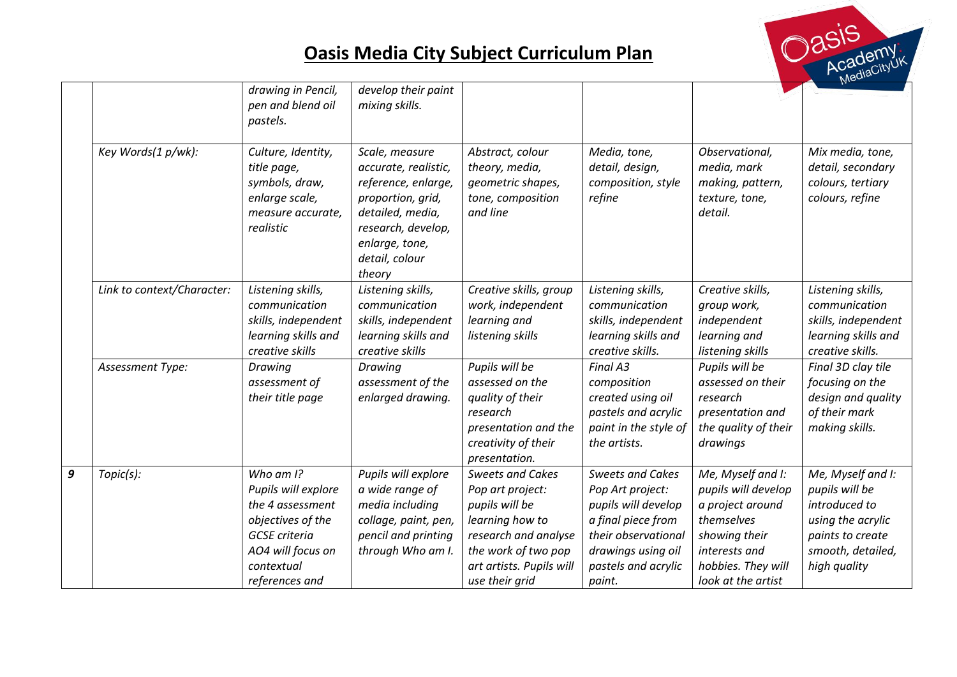

|   |                            | drawing in Pencil,<br>pen and blend oil<br>pastels.                                                                                                       | develop their paint<br>mixing skills.                                                                                                                                      |                                                                                                                                                                               |                                                                                                                                                                        |                                                                                                                                                          |                                                                                                                                    |
|---|----------------------------|-----------------------------------------------------------------------------------------------------------------------------------------------------------|----------------------------------------------------------------------------------------------------------------------------------------------------------------------------|-------------------------------------------------------------------------------------------------------------------------------------------------------------------------------|------------------------------------------------------------------------------------------------------------------------------------------------------------------------|----------------------------------------------------------------------------------------------------------------------------------------------------------|------------------------------------------------------------------------------------------------------------------------------------|
|   | Key Words(1 p/wk):         | Culture, Identity,<br>title page,<br>symbols, draw,<br>enlarge scale,<br>measure accurate,<br>realistic                                                   | Scale, measure<br>accurate, realistic,<br>reference, enlarge,<br>proportion, grid,<br>detailed, media,<br>research, develop,<br>enlarge, tone,<br>detail, colour<br>theory | Abstract, colour<br>theory, media,<br>geometric shapes,<br>tone, composition<br>and line                                                                                      | Media, tone,<br>detail, design,<br>composition, style<br>refine                                                                                                        | Observational,<br>media, mark<br>making, pattern,<br>texture, tone,<br>detail.                                                                           | Mix media, tone,<br>detail, secondary<br>colours, tertiary<br>colours, refine                                                      |
|   | Link to context/Character: | Listening skills,<br>communication<br>skills, independent<br>learning skills and<br>creative skills                                                       | Listening skills,<br>communication<br>skills, independent<br>learning skills and<br>creative skills                                                                        | Creative skills, group<br>work, independent<br>learning and<br>listening skills                                                                                               | Listening skills,<br>communication<br>skills, independent<br>learning skills and<br>creative skills.                                                                   | Creative skills,<br>group work,<br>independent<br>learning and<br>listening skills                                                                       | Listening skills,<br>communication<br>skills, independent<br>learning skills and<br>creative skills.                               |
|   | Assessment Type:           | Drawing<br>assessment of<br>their title page                                                                                                              | Drawing<br>assessment of the<br>enlarged drawing.                                                                                                                          | Pupils will be<br>assessed on the<br>quality of their<br>research<br>presentation and the<br>creativity of their<br>presentation.                                             | Final A3<br>composition<br>created using oil<br>pastels and acrylic<br>paint in the style of<br>the artists.                                                           | Pupils will be<br>assessed on their<br>research<br>presentation and<br>the quality of their<br>drawings                                                  | Final 3D clay tile<br>focusing on the<br>design and quality<br>of their mark<br>making skills.                                     |
| 9 | Topic(s):                  | Who am $I$ ?<br>Pupils will explore<br>the 4 assessment<br>objectives of the<br><b>GCSE</b> criteria<br>AO4 will focus on<br>contextual<br>references and | Pupils will explore<br>a wide range of<br>media including<br>collage, paint, pen,<br>pencil and printing<br>through Who am I.                                              | <b>Sweets and Cakes</b><br>Pop art project:<br>pupils will be<br>learning how to<br>research and analyse<br>the work of two pop<br>art artists. Pupils will<br>use their grid | <b>Sweets and Cakes</b><br>Pop Art project:<br>pupils will develop<br>a final piece from<br>their observational<br>drawings using oil<br>pastels and acrylic<br>paint. | Me, Myself and I:<br>pupils will develop<br>a project around<br>themselves<br>showing their<br>interests and<br>hobbies. They will<br>look at the artist | Me, Myself and I:<br>pupils will be<br>introduced to<br>using the acrylic<br>paints to create<br>smooth, detailed,<br>high quality |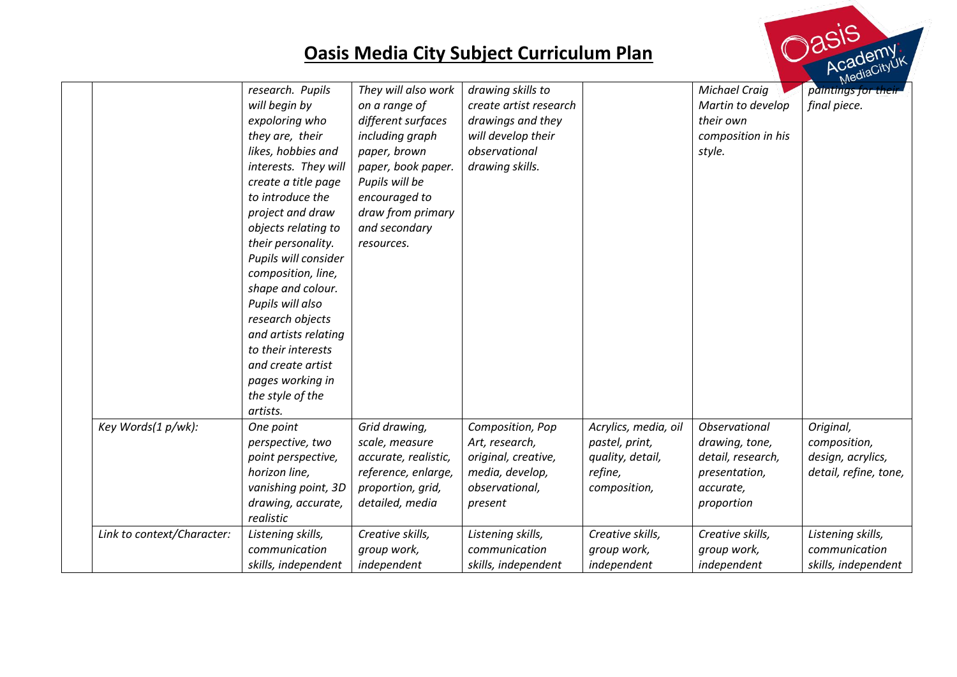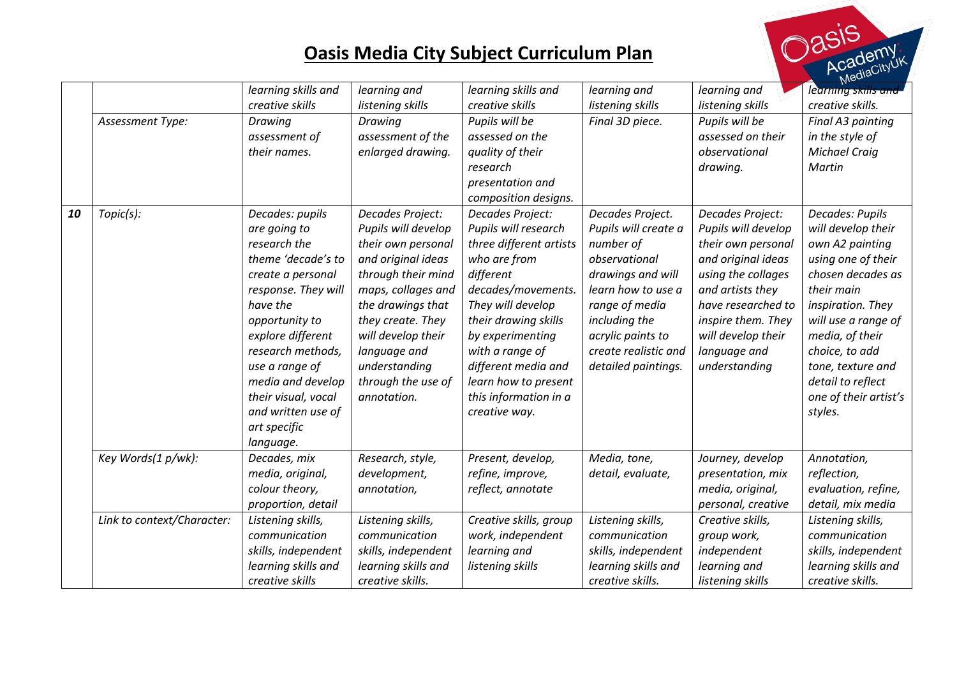

|    |                            | learning skills and | learning and        | learning skills and     | learning and         | learning and        | learning skills and   |
|----|----------------------------|---------------------|---------------------|-------------------------|----------------------|---------------------|-----------------------|
|    |                            | creative skills     | listening skills    | creative skills         | listening skills     | listening skills    | creative skills.      |
|    | Assessment Type:           | Drawing             | Drawing             | Pupils will be          | Final 3D piece.      | Pupils will be      | Final A3 painting     |
|    |                            | assessment of       | assessment of the   | assessed on the         |                      | assessed on their   | in the style of       |
|    |                            | their names.        | enlarged drawing.   | quality of their        |                      | observational       | <b>Michael Craig</b>  |
|    |                            |                     |                     | research                |                      | drawing.            | Martin                |
|    |                            |                     |                     | presentation and        |                      |                     |                       |
|    |                            |                     |                     | composition designs.    |                      |                     |                       |
| 10 | Topic(s):                  | Decades: pupils     | Decades Project:    | Decades Project:        | Decades Project.     | Decades Project:    | Decades: Pupils       |
|    |                            | are going to        | Pupils will develop | Pupils will research    | Pupils will create a | Pupils will develop | will develop their    |
|    |                            | research the        | their own personal  | three different artists | number of            | their own personal  | own A2 painting       |
|    |                            | theme 'decade's to  | and original ideas  | who are from            | observational        | and original ideas  | using one of their    |
|    |                            | create a personal   | through their mind  | different               | drawings and will    | using the collages  | chosen decades as     |
|    |                            | response. They will | maps, collages and  | decades/movements.      | learn how to use a   | and artists they    | their main            |
|    |                            | have the            | the drawings that   | They will develop       | range of media       | have researched to  | inspiration. They     |
|    |                            | opportunity to      | they create. They   | their drawing skills    | including the        | inspire them. They  | will use a range of   |
|    |                            | explore different   | will develop their  | by experimenting        | acrylic paints to    | will develop their  | media, of their       |
|    |                            | research methods,   | language and        | with a range of         | create realistic and | language and        | choice, to add        |
|    |                            | use a range of      | understanding       | different media and     | detailed paintings.  | understanding       | tone, texture and     |
|    |                            | media and develop   | through the use of  | learn how to present    |                      |                     | detail to reflect     |
|    |                            | their visual, vocal | annotation.         | this information in a   |                      |                     | one of their artist's |
|    |                            | and written use of  |                     | creative way.           |                      |                     | styles.               |
|    |                            | art specific        |                     |                         |                      |                     |                       |
|    |                            | language.           |                     |                         |                      |                     |                       |
|    | Key Words(1 p/wk):         | Decades, mix        | Research, style,    | Present, develop,       | Media, tone,         | Journey, develop    | Annotation,           |
|    |                            | media, original,    | development,        | refine, improve,        | detail, evaluate,    | presentation, mix   | reflection,           |
|    |                            | colour theory,      | annotation,         | reflect, annotate       |                      | media, original,    | evaluation, refine,   |
|    |                            | proportion, detail  |                     |                         |                      | personal, creative  | detail, mix media     |
|    | Link to context/Character: | Listening skills,   | Listening skills,   | Creative skills, group  | Listening skills,    | Creative skills,    | Listening skills,     |
|    |                            | communication       | communication       | work, independent       | communication        | group work,         | communication         |
|    |                            | skills, independent | skills, independent | learning and            | skills, independent  | independent         | skills, independent   |
|    |                            | learning skills and | learning skills and | listening skills        | learning skills and  | learning and        | learning skills and   |
|    |                            | creative skills     | creative skills.    |                         | creative skills.     | listening skills    | creative skills.      |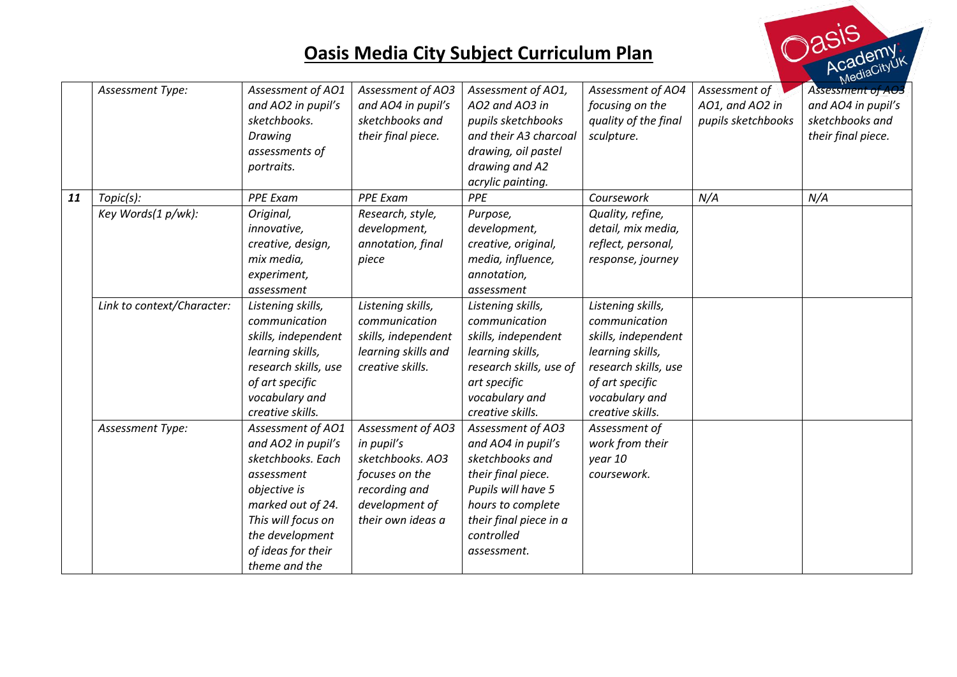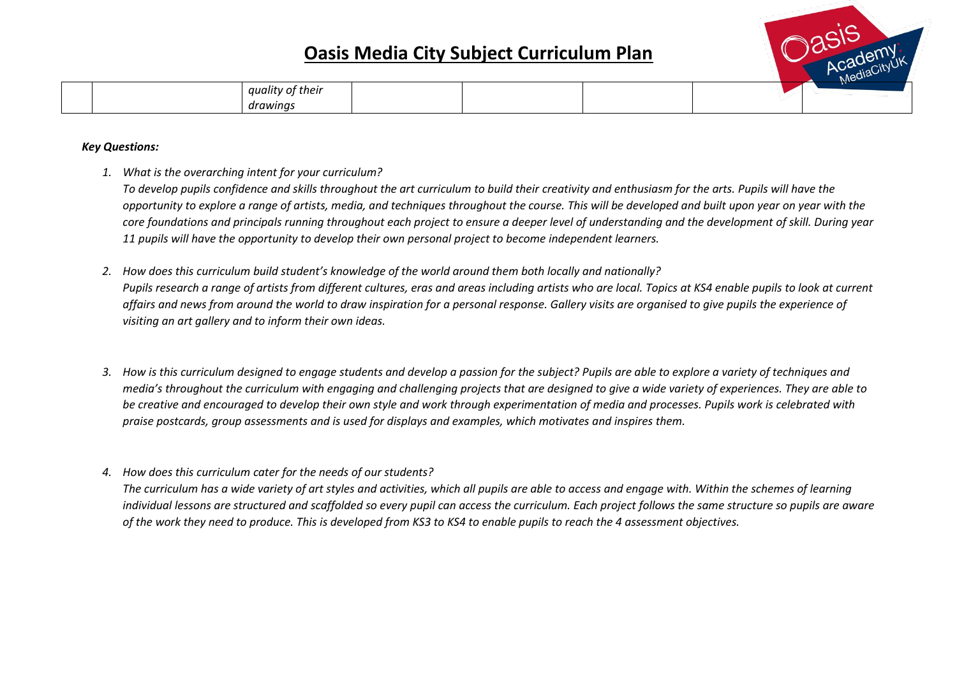

|  |                                                       |  |  | $\cdots$ |
|--|-------------------------------------------------------|--|--|----------|
|  | .<br>quality of their                                 |  |  |          |
|  | $\sim$ $\sim$ $\sim$ $\sim$ $\sim$ $\sim$<br>drawinas |  |  |          |

#### *Key Questions:*

*1. What is the overarching intent for your curriculum?*

*To develop pupils confidence and skills throughout the art curriculum to build their creativity and enthusiasm for the arts. Pupils will have the opportunity to explore a range of artists, media, and techniques throughout the course. This will be developed and built upon year on year with the core foundations and principals running throughout each project to ensure a deeper level of understanding and the development of skill. During year 11 pupils will have the opportunity to develop their own personal project to become independent learners.*

- *2. How does this curriculum build student's knowledge of the world around them both locally and nationally? Pupils research a range of artists from different cultures, eras and areas including artists who are local. Topics at KS4 enable pupils to look at current affairs and news from around the world to draw inspiration for a personal response. Gallery visits are organised to give pupils the experience of visiting an art gallery and to inform their own ideas.*
- *3. How is this curriculum designed to engage students and develop a passion for the subject? Pupils are able to explore a variety of techniques and media's throughout the curriculum with engaging and challenging projects that are designed to give a wide variety of experiences. They are able to be creative and encouraged to develop their own style and work through experimentation of media and processes. Pupils work is celebrated with praise postcards, group assessments and is used for displays and examples, which motivates and inspires them.*
- *4. How does this curriculum cater for the needs of our students?*

*The curriculum has a wide variety of art styles and activities, which all pupils are able to access and engage with. Within the schemes of learning individual lessons are structured and scaffolded so every pupil can access the curriculum. Each project follows the same structure so pupils are aware of the work they need to produce. This is developed from KS3 to KS4 to enable pupils to reach the 4 assessment objectives.*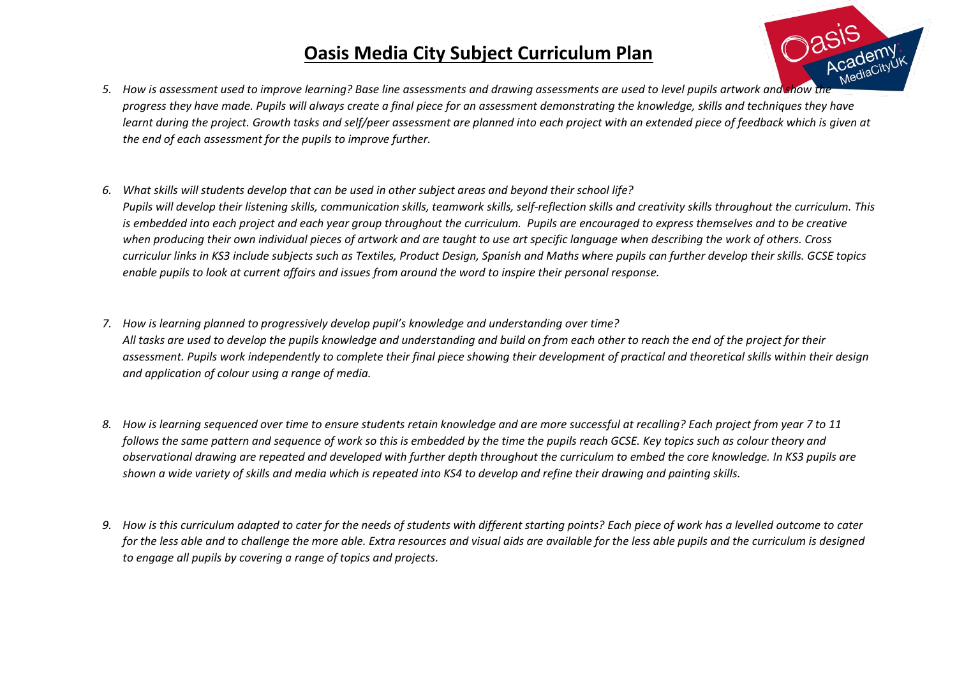

- *5. How is assessment used to improve learning? Base line assessments and drawing assessments are used to level pupils artwork and show the progress they have made. Pupils will always create a final piece for an assessment demonstrating the knowledge, skills and techniques they have*  learnt during the project. Growth tasks and self/peer assessment are planned into each project with an extended piece of feedback which is given at *the end of each assessment for the pupils to improve further.*
- *6. What skills will students develop that can be used in other subject areas and beyond their school life? Pupils will develop their listening skills, communication skills, teamwork skills, self-reflection skills and creativity skills throughout the curriculum. This is embedded into each project and each year group throughout the curriculum. Pupils are encouraged to express themselves and to be creative when producing their own individual pieces of artwork and are taught to use art specific language when describing the work of others. Cross curriculur links in KS3 include subjects such as Textiles, Product Design, Spanish and Maths where pupils can further develop their skills. GCSE topics enable pupils to look at current affairs and issues from around the word to inspire their personal response.*
- *7. How is learning planned to progressively develop pupil's knowledge and understanding over time? All tasks are used to develop the pupils knowledge and understanding and build on from each other to reach the end of the project for their assessment. Pupils work independently to complete their final piece showing their development of practical and theoretical skills within their design and application of colour using a range of media.*
- *8. How is learning sequenced over time to ensure students retain knowledge and are more successful at recalling? Each project from year 7 to 11 follows the same pattern and sequence of work so this is embedded by the time the pupils reach GCSE. Key topics such as colour theory and observational drawing are repeated and developed with further depth throughout the curriculum to embed the core knowledge. In KS3 pupils are shown a wide variety of skills and media which is repeated into KS4 to develop and refine their drawing and painting skills.*
- *9. How is this curriculum adapted to cater for the needs of students with different starting points? Each piece of work has a levelled outcome to cater*  for the less able and to challenge the more able. Extra resources and visual aids are available for the less able pupils and the curriculum is designed *to engage all pupils by covering a range of topics and projects.*